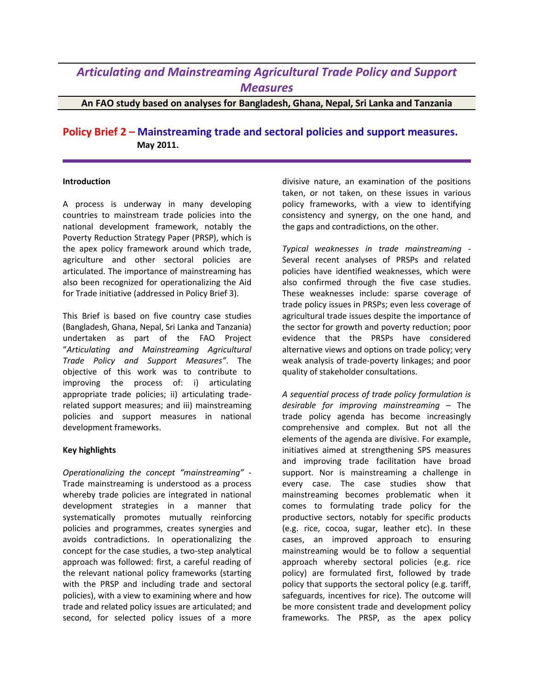## *Articulating and Mainstreaming Agricultural Trade Policy and Support Measures*

**An FAO study based on analyses for Bangladesh, Ghana, Nepal, Sri Lanka and Tanzania**

**Policy Brief 2 – Mainstreaming trade and sectoral policies and support measures. May 2011.**

## **Introduction**

A process is underway in many developing countries to mainstream trade policies into the national development framework, notably the Poverty Reduction Strategy Paper (PRSP), which is the apex policy framework around which trade, agriculture and other sectoral policies are articulated. The importance of mainstreaming has also been recognized for operationalizing the Aid for Trade initiative (addressed in Policy Brief 3).

This Brief is based on five country case studies (Bangladesh, Ghana, Nepal, Sri Lanka and Tanzania) undertaken as part of the FAO Project "*Articulating and Mainstreaming Agricultural Trade Policy and Support Measures"*. The objective of this work was to contribute to improving the process of: i) articulating appropriate trade policies; ii) articulating traderelated support measures; and iii) mainstreaming policies and support measures in national development frameworks.

## **Key highlights**

*Operationalizing the concept "mainstreaming"* - Trade mainstreaming is understood as a process whereby trade policies are integrated in national development strategies in a manner that systematically promotes mutually reinforcing policies and programmes, creates synergies and avoids contradictions. In operationalizing the concept for the case studies, a two-step analytical approach was followed: first, a careful reading of the relevant national policy frameworks (starting with the PRSP and including trade and sectoral policies), with a view to examining where and how trade and related policy issues are articulated; and second, for selected policy issues of a more

divisive nature, an examination of the positions taken, or not taken, on these issues in various policy frameworks, with a view to identifying consistency and synergy, on the one hand, and the gaps and contradictions, on the other.

*Typical weaknesses in trade mainstreaming* - Several recent analyses of PRSPs and related policies have identified weaknesses, which were also confirmed through the five case studies. These weaknesses include: sparse coverage of trade policy issues in PRSPs; even less coverage of agricultural trade issues despite the importance of the sector for growth and poverty reduction; poor evidence that the PRSPs have considered alternative views and options on trade policy; very weak analysis of trade-poverty linkages; and poor quality of stakeholder consultations.

*A sequential process of trade policy formulation is desirable for improving mainstreaming* – The trade policy agenda has become increasingly comprehensive and complex. But not all the elements of the agenda are divisive. For example, initiatives aimed at strengthening SPS measures and improving trade facilitation have broad support. Nor is mainstreaming a challenge in every case. The case studies show that mainstreaming becomes problematic when it comes to formulating trade policy for the productive sectors, notably for specific products (e.g. rice, cocoa, sugar, leather etc). In these cases, an improved approach to ensuring mainstreaming would be to follow a sequential approach whereby sectoral policies (e.g. rice policy) are formulated first, followed by trade policy that supports the sectoral policy (e.g. tariff, safeguards, incentives for rice). The outcome will be more consistent trade and development policy frameworks. The PRSP, as the apex policy